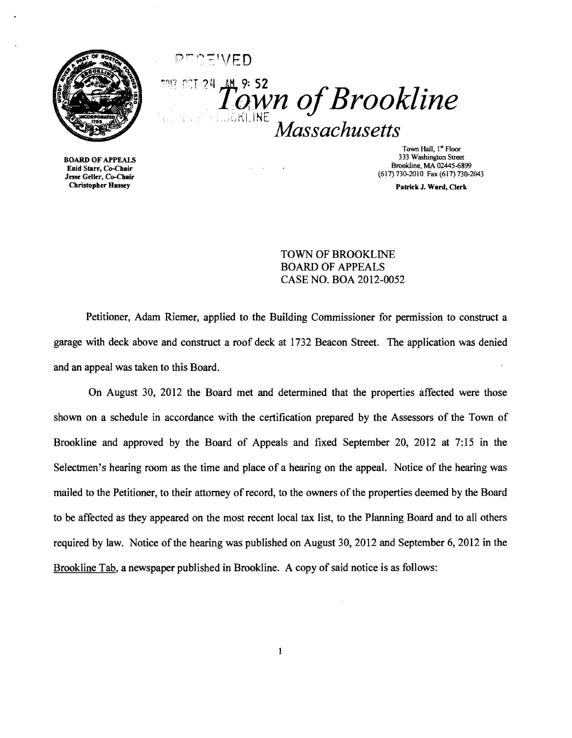

 $T_0^{\frac{24}{3}}$  Town of Brookline  $36$ KI.INE *Massachusetts* 

PEATIVED

BOARD OF APPEALS Enid Starr, Co-Chair Jesse Geller, Co-Chair **Christopher Hussey** 

Town Hall, I" Floor 333 Washington Street Brookline, MA 02445-6899 (617)730-2010 Fax (617) 730-2043

Patrick J. Ward, Clerk

TOWN OF BROOKLINE BOARD OF APPEALS CASE NO. BOA 2012-0052

Petitioner, Adam Riemer, applied to the Building Commissioner for permission to construct a garage with deck above and construct a roof deck at 1732 Beacon Street. The application was denied and an appeal was taken to this Board.

 $\mathcal{A}$ 

On August 30, 2012 the Board met and determined that the properties affected were those shown on a schedule in accordance with the certification prepared by the Assessors of the Town of Brookline and approved by the Board of Appeals and fixed September 20, 2012 at 7:15 in the Selectmen's hearing room as the time and place of a hearing on the appeal. Notice of the hearing was mailed to the Petitioner, to their attorney of record, to the owners of the properties deemed by the Board to be affected as they appeared on the most recent local tax list, to the Planning Board and to all others required by law. Notice of the hearing was published on August 30, 2012 and September 6,2012 in the Brookline Tab, a newspaper published in Brookline. A copy of said notice is as follows: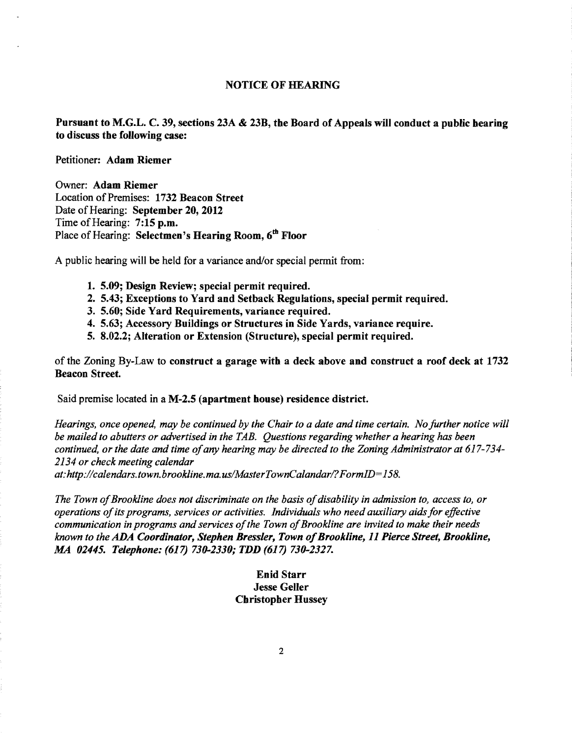## NOTICE OF HEARING

Pursuant to M.G.L. C. 39, sections 23A & 23B, tbe Board of Appeals will conduct a public bearing to discuss tbe following case:

Petitioner: Adam Riemer

Owner: Adam Riemer Location of Premises: 1732 Beacon Street Date of Hearing: September 20, 2012 Time of Hearing: 7:15 p.m. Place of Hearing: Selectmen's Hearing Room, 6<sup>th</sup> Floor

A public hearing will be held for a variance and/or special permit from:

- 1. 5.09; Design Review; special permit required.
- 2. 5.43; Exceptions to Yard and Setback Regulations, special permit required.
- 3. 5.60; Side Yard Requirements, variance required.
- 4. 5.63; Accessory Buildings or Structures in Side Yards, variance require.
- 5. 8.02.2; Alteration or Extension (Structure), special permit required.

of the Zoning By-Law to construct a garage witb a deck above and construct a roof deck at 1732 Beacon Street.

Said premise located in a M-2.5 (apartment bouse) residence district.

*Hearings, once opened, may be continued by the Chair to a date and time certain. No further notice will be mailed to abutters or advertised in the TAB. Questions regarding whether a hearing has been continued, or the date and time ofany hearing may be directed to the Zoning Administrator at 617-734 2134 or check meeting calendar* 

*at: http://calendars.town.brookline.ma.usIMasterTownCalandarl? FormID= 158.* 

The Town of Brookline does not discriminate on the basis of disability in admission to, access to, or *operations ofits programs, services or activities. Individuals who need auxiliary aids for effective communication in programs and services ofthe Town ofBrookline are invited to make their needs known to the ADA Coordinator, Stephen Bressler, Town ofBrookline,* 11 *Pierce Street, Brookline, MA 02445. Telephone:* (617) *730-2330; TDD* (617) *730-2327.* 

## Enid Starr Jesse Geller Cbristopber Hussey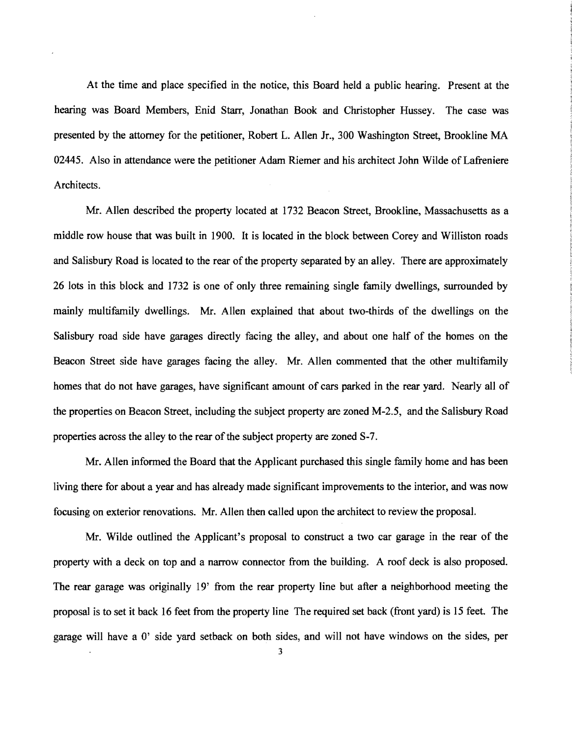At the time and place specified in the notice, this Board held a public hearing. Present at the hearing was Board Members, Enid Starr, Jonathan Book and Christopher Hussey. The case was presented by the attorney for the petitioner, Robert L. Allen Jr., 300 Washington Street, Brookline MA 02445. Also in attendance were the petitioner Adam Riemer and his architect John Wilde of Lafreniere Architects.

Mr. Allen described the property located at 1732 Beacon Street, Brookline, Massachusetts as a middle row house that was built in 1900. It is located in the block between Corey and Williston roads and Salisbury Road is located to the rear of the property separated by an alley. There are approximately 26 lots in this block and 1732 is one of only three remaining single family dwellings, surrounded by mainly multifamily dwellings. Mr. Allen explained that about two-thirds of the dwellings on the Salisbury road side have garages directly facing the alley, and about one half of the homes on the Beacon Street side have garages facing the alley. Mr. Allen commented that the other multifamily homes that do not have garages, have significant amount of cars parked in the rear yard. Nearly all of the properties on Beacon Street, including the subject property are zoned M-2.5, and the Salisbury Road properties across the alley to the rear of the subject property are zoned S-7.

Mr. Allen informed the Board that the Applicant purchased this single family home and has been living there for about a year and has already made significant improvements to the interior, and was now focusing on exterior renovations. Mr. Allen then called upon the architect to review the proposal.

Mr. Wilde outlined the Applicant's proposal to construct a two car garage in the rear of the property with a deck on top and a narrow connector from the building. A roof deck is also proposed. The rear garage was originally 19' from the rear property line but after a neighborhood meeting the proposal is to set it back 16 feet from the property line The required set back (front yard) is 15 feet. The garage will have a 0' side yard setback on both sides, and will not have windows on the sides, per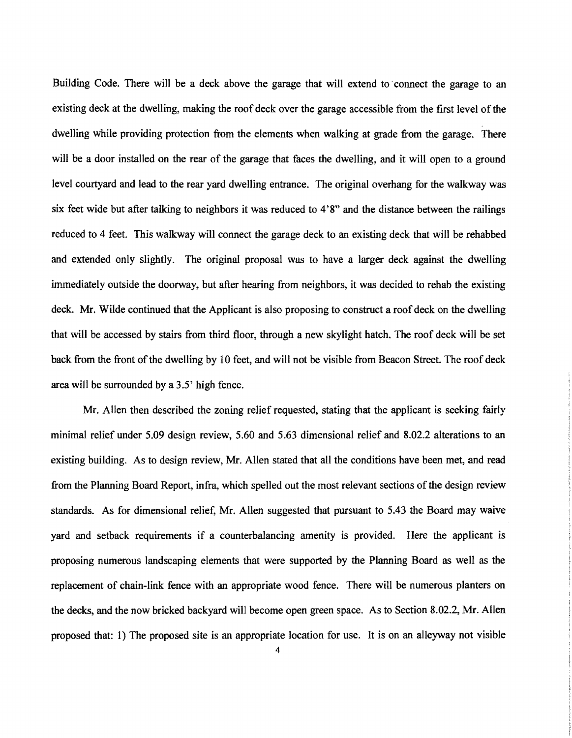Building Code. There will be a deck above the garage that will extend to· connect the garage to an existing deck at the dwelling, making the roof deck over the garage accessible from the first level of the dwelling while providing protection from the elements when walking at grade from the garage. There will be a door installed on the rear of the garage that faces the dwelling, and it will open to a ground level courtyard and lead to the rear yard dwelling entrance. The original overhang for the walkway was six feet wide but after talking to neighbors it was reduced to 4'8" and the distance between the railings reduced to 4 feet. This walkway will connect the garage deck to an existing deck that will be rehabbed and extended only slightly. The original proposal was to have a larger deck against the dwelling immediately outside the doorway, but after hearing from neighbors, it was decided to rehab the existing deck. Mr. Wilde continued that the Applicant is also proposing to construct a roof deck on the dwelling that will be accessed by stairs from third floor, through a new skylight hatch. The roof deck will be set back from the front of the dwelling by 10 feet, and will not be visible from Beacon Street. The roof deck area will be surrounded by a 3.5' high fence.

Mr. Allen then described the zoning relief requested, stating that the applicant is seeking fairly minimal relief under 5.09 design review, 5.60 and 5.63 dimensional relief and 8.02.2 alterations to an existing building. As to design review, Mr. Allen stated that all the conditions have been met, and read from the Planning Board Report, infra, which spelled out the most relevant sections of the design review standards. As for dimensional relief, Mr. Allen suggested that pursuant to 5.43 the Board may waive yard and setback requirements if a counterbalancing amenity is provided. Here the applicant is proposing numerous landscaping elements that were supported by the Planning Board as well as the replacement of chain-link fence with an appropriate wood fence. There will be numerous planters on the decks, and the now bricked backyard will become open green space. As to Section 8.02.2, Mr. Allen proposed that: 1) The proposed site is an appropriate location for use. It is on an alleyway not visible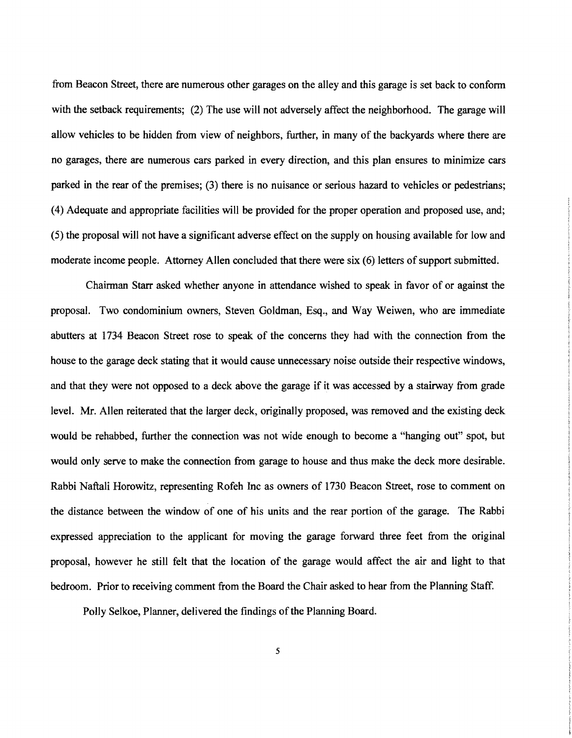from Beacon Street, there are numerous other garages on the alley and this garage is set back to conform with the setback requirements; (2) The use will not adversely affect the neighborhood. The garage will allow vehicles to be hidden from view of neighbors, further, in many of the backyards where there are no garages, there are numerous cars parked in every direction, and this plan ensures to minimize cars parked in the rear of the premises; (3) there is no nuisance or serious hazard to vehicles or pedestrians; (4) Adequate and appropriate facilities will be provided for the proper operation and proposed use, and; (5) the proposal will not have a significant adverse effect on the supply on housing available for low and moderate income people. Attorney Allen concluded that there were six (6) letters of support submitted.

Chairman Starr asked whether anyone in attendance wished to speak in favor of or against the proposal. Two condominium owners, Steven Goldman, Esq., and Way Weiwen, who are immediate abutters at 1734 Beacon Street rose to speak of the concerns they had with the connection from the house to the garage deck stating that it would cause unnecessary noise outside their respective windows, and that they were not opposed to a deck above the garage if it was accessed by a stairway from grade level. Mr. Allen reiterated that the larger deck, originally proposed, was removed and the existing deck would be rehabbed, further the connection was not wide enough to become a "hanging out" spot, but would only serve to make the connection from garage to house and thus make the deck more desirable. Rabbi Naftali Horowitz, representing Rofeh Inc as owners of 1730 Beacon Street, rose to comment on the distance between the window of one of his units and the rear portion of the garage. The Rabbi expressed appreciation to the applicant for moving the garage forward three feet from the original proposal, however he still felt that the location of the garage would affect the air and light to that bedroom. Prior to receiving comment from the Board the Chair asked to hear from the Planning Staff.

Polly Selkoe, Planner, delivered the findings of the Planning Board.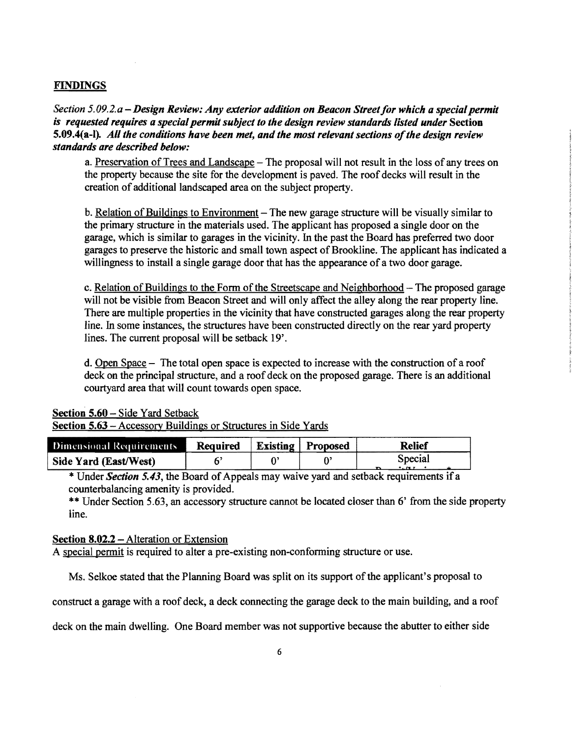## FINDINGS

*Section* 5. *09.2. a* - *Design Review: Any exterior addition on Beacon Street for which a special permit is requested requires a special permit subject to the design review standards listed under* Section 5.09.4(a-l). *All the conditions have been met, and the most relevant sections of the design review standards are described below:* 

a. Preservation of Trees and Landscape - The proposal will not result in the loss of any trees on the property because the site for the development is paved. The roof decks will result in the creation of additional landscaped area on the subject property.

b. Relation of Buildings to Environment - The new garage structure will be visually similar to the primary structure in the materials used. The applicant has proposed a single door on the garage, which is similar to garages in the vicinity. In the past the Board has preferred two door garages to preserve the historic and small town aspect of Brookline. The applicant has indicated a willingness to install a single garage door that has the appearance of a two door garage.

c. Relation of Buildings to the Form of the Streetscape and Neighborhood - The proposed garage will not be visible from Beacon Street and will only affect the alley along the rear property line. There are multiple properties in the vicinity that have constructed garages along the rear property line. In some instances, the structures have been constructed directly on the rear yard property lines. The current proposal will be setback 19'.

d. Open Space - The total open space is expected to increase with the construction of a roof deck on the principal structure, and a roof deck on the proposed garage. There is an additional courtyard area that will count towards open space.

|  |  | <b>Section 5.60 – Side Yard Setback</b> |
|--|--|-----------------------------------------|
|  |  |                                         |

Section 5.63 - Accessory Buildings or Structures in Side Yards

| Dimensional Requirements | Required | <b>Existing</b> Proposed | <b>Relief</b> |
|--------------------------|----------|--------------------------|---------------|
| Side Yard (East/West)    |          |                          | Special       |

\* Under *Section 5.43*, the Board of Appeals may waive yard and setback requirements if a counterbalancing amenity is provided.

\*\* Under Section 5.63, an accessory structure cannot be located closer than 6' from the side property line.

## Section 8.02.2 – Alteration or Extension

A special permit is required to alter a pre-existing non-conforming structure or use.

Ms. Selkoe stated that the Planning Board was split on its support of the applicant's proposal to

construct a garage with a roof deck, a deck connecting the garage deck to the main building, and a roof

deck on the main dwelling. One Board member was not supportive because the abutter to either side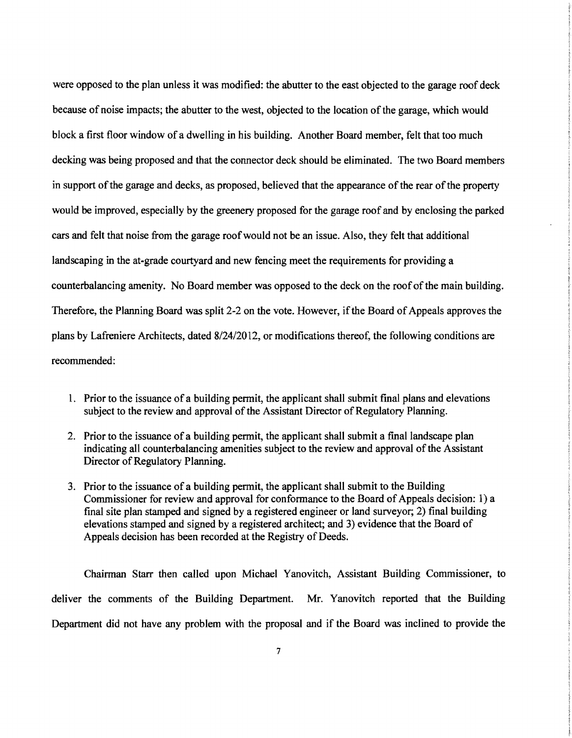were opposed to the plan unless it was modified: the abutter to the east objected to the garage roof deck because of noise impacts; the abutter to the west, objected to the location of the garage, which would block a first floor window of a dwelling in his building. Another Board member, felt that too much decking was being proposed and that the connector deck should be eliminated. The two Board members in support of the garage and decks, as proposed, believed that the appearance of the rear of the property would be improved, especially by the greenery proposed for the garage roof and by enclosing the parked cars and felt that noise from the garage roofwould not be an issue. Also, they felt that additional landscaping in the at-grade courtyard and new fencing meet the requirements for providing a counterbalancing amenity. No Board member was opposed to the deck on the roof of the main building. Therefore, the Planning Board was split 2-2 on the vote. However, if the Board of Appeals approves the plans by Lafreniere Architects, dated 8124/2012, or modifications thereof, the following conditions are recommended:

- 1. Prior to the issuance of a building permit, the applicant shall submit final plans and elevations subject to the review and approval of the Assistant Director of Regulatory Planning.
- 2. Prior to the issuance of a building permit, the applicant shall submit a final landscape plan indicating all counterbalancing amenities subject to the review and approval of the Assistant Director of Regulatory Planning.
- 3. Prior to the issuance of a building permit, the applicant shall submit to the Building Commissioner for review and approval for conformance to the Board of Appeals decision: 1) a final site plan stamped and signed by a registered engineer or land surveyor; 2) final building elevations stamped and signed by a registered architect; and 3) evidence that the Board of Appeals decision has been recorded at the Registry of Deeds.

Chairman Starr then called upon Michael Yanovitch, Assistant Building Commissioner, to deliver the comments of the Building Department. Mr. Yanovitch reported that the Building Department did not have any problem with the proposal and if the Board was inclined to provide the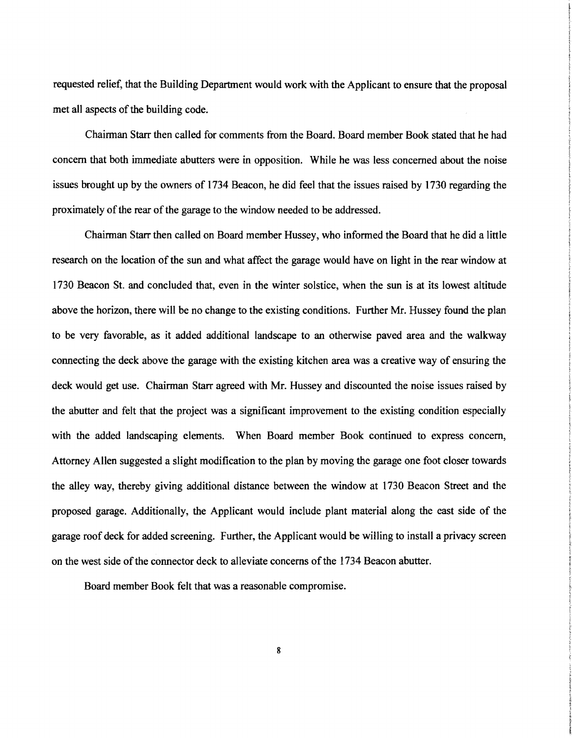requested relief, that the Building Department would work with the Applicant to ensure that the proposal met all aspects of the building code.

Chairman Starr then called for comments from the Board. Board member Book stated that he had concern that both immediate abutters were in opposition. While he was less concerned about the noise issues brought up by the owners of 1734 Beacon, he did feel that the issues raised by 1730 regarding the proximately of the rear of the garage to the window needed to be addressed.

Chairman Starr then called on Board member Hussey, who informed the Board that he did a little research on the location of the sun and what affect the garage would have on light in the rear window at 1730 Beacon St. and concluded that, even in the winter solstice, when the sun is at its lowest altitude above the horizon, there will be no change to the existing conditions. Further Mr. Hussey found the plan to be very favorable, as it added additional landscape to an otherwise paved area and the walkway connecting the deck above the garage with the existing kitchen area was a creative way of ensuring the deck would get use. Chairman Starr agreed with Mr. Hussey and discounted the noise issues raised by the abutter and felt that the project was a significant improvement to the existing condition especially with the added landscaping elements. When Board member Book continued to express concern, Attorney Allen suggested a slight modification to the plan by moving the garage one foot closer towards the alley way, thereby giving additional distance between the window at 1730 Beacon Street and the proposed garage. Additionally, the Applicant would include plant material along the east side of the garage roof deck for added screening. Further, the Applicant would be willing to install a privacy screen on the west side of the connector deck to alleviate concerns of the 1734 Beacon abutter.

Board member Book felt that was a reasonable compromise.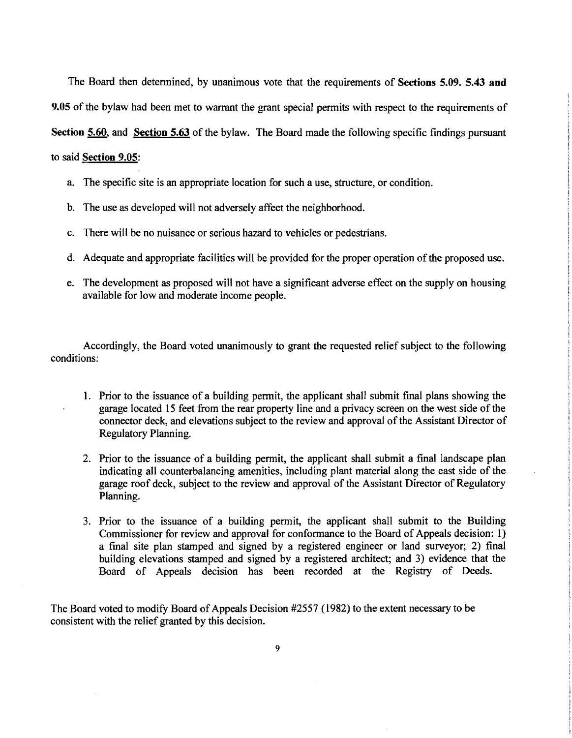The Board then determined, by unanimous vote that the requirements of Sections 5.09. 5.43 and 9.05 of the bylaw had been met to warrant the grant special pennits with respect to the requirements of

Section 5.60, and Section 5.63 of the bylaw. The Board made the following specific findings pursuant

to said Section 9.05:

- a. The specific site is an appropriate location for such a use, structure, or condition.
- b. The use as developed will not adversely affect the neighborhood.
- c. There will be no nuisance or serious hazard to vehicles or pedestrians.
- d. Adequate and appropriate facilities will be provided for the proper operation of the proposed use.
- e. The development as proposed will not have a significant adverse effect on the supply on housing available for low and moderate income people.

Accordingly, the Board voted unanimously to grant the requested relief subject to the following conditions:

- 1. Prior to the issuance of a building permit, the applicant shall submit final plans showing the garage located 15 feet from the rear property line and a privacy screen on the west side of the connector deck, and elevations subject to the review and approval of the Assistant Director of Regulatory Planning.
- 2. Prior to the issuance of a building permit, the applicant shall submit a final landscape plan indicating all counterbalancing amenities, including plant material along the east side of the garage roof deck, subject to the review and approval of the Assistant Director of Regulatory Planning.
- 3. Prior to the issuance of a building permit, the applicant shall submit to the Building Commissioner for review and approval for confonnance to the Board of Appeals decision: 1) a fmal site plan stamped and signed by a registered engineer or land surveyor; 2) final building elevations stamped and signed by a registered architect; and 3) evidence that the Board of Appeals decision has been recorded at the Registry of Deeds.

The Board voted to modify Board of Appeals Decision #2557 (1982) to the extent necessary to be consistent with the relief granted by this decision.